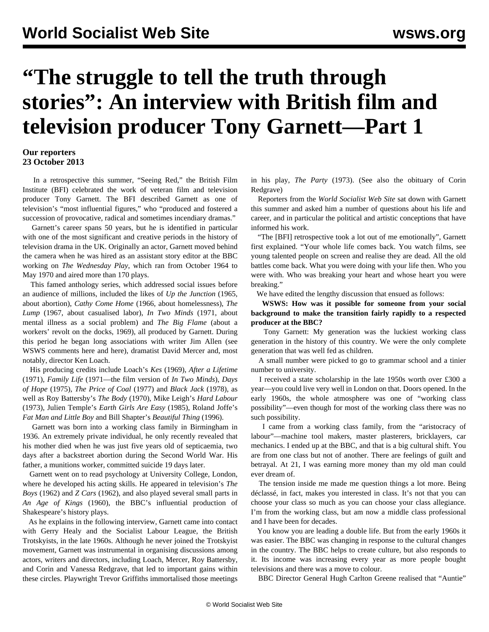## **"The struggle to tell the truth through stories": An interview with British film and television producer Tony Garnett—Part 1**

## **Our reporters 23 October 2013**

 In a retrospective this summer, "Seeing Red," the British Film Institute (BFI) celebrated the work of veteran film and television producer Tony Garnett. The BFI described Garnett as one of television's "most influential figures," who "produced and fostered a succession of provocative, radical and sometimes incendiary dramas."

 Garnett's career spans 50 years, but he is identified in particular with one of the most significant and creative periods in the history of television drama in the UK. Originally an actor, Garnett moved behind the camera when he was hired as an assistant story editor at the BBC working on *The Wednesday Play*, which ran from October 1964 to May 1970 and aired more than 170 plays.

 This famed anthology series, which addressed social issues before an audience of millions, included the likes of *Up the Junction* (1965, about abortion), *Cathy Come Home* (1966, about homelessness), *The Lump* (1967, about casualised labor), *In Two Minds* (1971, about mental illness as a social problem) and *The Big Flame* (about a workers' revolt on the docks, 1969), all produced by Garnett. During this period he began long associations with writer Jim Allen (see WSWS comments [here](/en/articles/1999/08/alle-a11.html) and [here](/en/articles/1999/08/obit-a11.html)), dramatist David Mercer and, most notably, director Ken Loach.

 His producing credits include Loach's *Kes* (1969), *After a Lifetime* (1971), *Family Life* (1971—the film version of *In Two Minds*), *Days of Hope* (1975), *The Price of Coal* (1977) and *Black Jack* (1978), as well as Roy Battersby's *The Body* (1970), Mike Leigh's *Hard Labour* (1973), Julien Temple's *Earth Girls Are Easy* (1985), Roland Joffe's *Fat Man and Little Boy* and Bill Shapter's *Beautiful Thing* (1996).

 Garnett was born into a working class family in Birmingham in 1936. An extremely private individual, he only recently revealed that his mother died when he was just five years old of septicaemia, two days after a backstreet abortion during the Second World War. His father, a munitions worker, committed suicide 19 days later.

 Garnett went on to read psychology at University College, London, where he developed his acting skills. He appeared in television's *The Boys* (1962) and *Z Cars* (1962), and also played several small parts in *An Age of Kings* (1960), the BBC's influential production of Shakespeare's history plays.

 As he explains in the following interview, Garnett came into contact with Gerry Healy and the Socialist Labour League, the British Trotskyists, in the late 1960s. Although he never joined the Trotskyist movement, Garnett was instrumental in organising discussions among actors, writers and directors, including Loach, Mercer, Roy Battersby, and Corin and Vanessa Redgrave, that led to important gains within these circles. Playwright Trevor Griffiths immortalised those meetings

in his play, *The Party* (1973). (See also the obituary of [Corin](/en/articles/2010/04/redg-a12.html) [Redgrave\)](/en/articles/2010/04/redg-a12.html)

 Reporters from the *World Socialist Web Site* sat down with Garnett this summer and asked him a number of questions about his life and career, and in particular the political and artistic conceptions that have informed his work.

 "The [BFI] retrospective took a lot out of me emotionally", Garnett first explained. "Your whole life comes back. You watch films, see young talented people on screen and realise they are dead. All the old battles come back. What you were doing with your life then. Who you were with. Who was breaking your heart and whose heart you were breaking."

We have edited the lengthy discussion that ensued as follows:

 **WSWS: How was it possible for someone from your social background to make the transition fairly rapidly to a respected producer at the BBC?**

 Tony Garnett: My generation was the luckiest working class generation in the history of this country. We were the only complete generation that was well fed as children.

 A small number were picked to go to grammar school and a tinier number to university.

 I received a state scholarship in the late 1950s worth over £300 a year—you could live very well in London on that. Doors opened. In the early 1960s, the whole atmosphere was one of "working class possibility"—even though for most of the working class there was no such possibility.

 I came from a working class family, from the "aristocracy of labour"—machine tool makers, master plasterers, bricklayers, car mechanics. I ended up at the BBC, and that is a big cultural shift. You are from one class but not of another. There are feelings of guilt and betrayal. At 21, I was earning more money than my old man could ever dream of.

 The tension inside me made me question things a lot more. Being déclassé, in fact, makes you interested in class. It's not that you can choose your class so much as you can choose your class allegiance. I'm from the working class, but am now a middle class professional and I have been for decades.

 You know you are leading a double life. But from the early 1960s it was easier. The BBC was changing in response to the cultural changes in the country. The BBC helps to create culture, but also responds to it. Its income was increasing every year as more people bought televisions and there was a move to colour.

BBC Director General Hugh Carlton Greene realised that "Auntie"